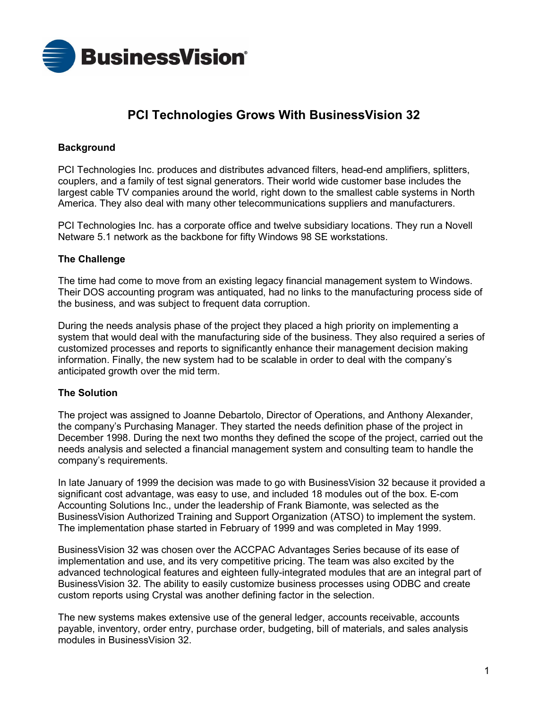

# **PCI Technologies Grows With BusinessVision 32**

## **Background**

PCI Technologies Inc. produces and distributes advanced filters, head-end amplifiers, splitters, couplers, and a family of test signal generators. Their world wide customer base includes the largest cable TV companies around the world, right down to the smallest cable systems in North America. They also deal with many other telecommunications suppliers and manufacturers.

PCI Technologies Inc. has a corporate office and twelve subsidiary locations. They run a Novell Netware 5.1 network as the backbone for fifty Windows 98 SE workstations.

#### **The Challenge**

The time had come to move from an existing legacy financial management system to Windows. Their DOS accounting program was antiquated, had no links to the manufacturing process side of the business, and was subject to frequent data corruption.

During the needs analysis phase of the project they placed a high priority on implementing a system that would deal with the manufacturing side of the business. They also required a series of customized processes and reports to significantly enhance their management decision making information. Finally, the new system had to be scalable in order to deal with the companyís anticipated growth over the mid term.

#### **The Solution**

The project was assigned to Joanne Debartolo, Director of Operations, and Anthony Alexander, the companyís Purchasing Manager. They started the needs definition phase of the project in December 1998. During the next two months they defined the scope of the project, carried out the needs analysis and selected a financial management system and consulting team to handle the company's requirements.

In late January of 1999 the decision was made to go with BusinessVision 32 because it provided a significant cost advantage, was easy to use, and included 18 modules out of the box. E-com Accounting Solutions Inc., under the leadership of Frank Biamonte, was selected as the BusinessVision Authorized Training and Support Organization (ATSO) to implement the system. The implementation phase started in February of 1999 and was completed in May 1999.

BusinessVision 32 was chosen over the ACCPAC Advantages Series because of its ease of implementation and use, and its very competitive pricing. The team was also excited by the advanced technological features and eighteen fully-integrated modules that are an integral part of BusinessVision 32. The ability to easily customize business processes using ODBC and create custom reports using Crystal was another defining factor in the selection.

The new systems makes extensive use of the general ledger, accounts receivable, accounts payable, inventory, order entry, purchase order, budgeting, bill of materials, and sales analysis modules in BusinessVision 32.